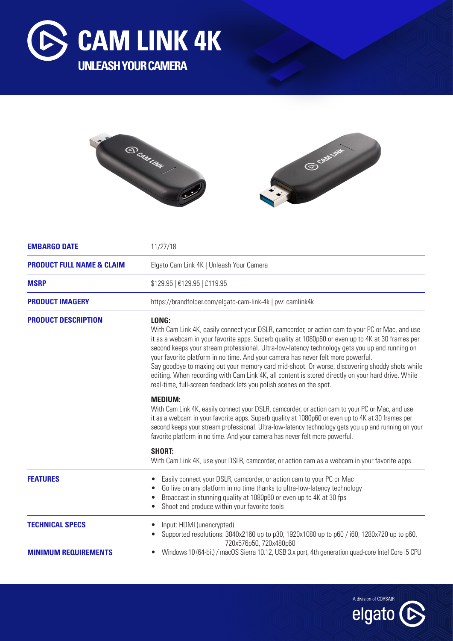





| <b>EMBARGO DATE</b>                                   | 11/27/18                                                                                                                                                                                                                                                                                                                                                                                                                                                                                                                                                                                                                                                                           |
|-------------------------------------------------------|------------------------------------------------------------------------------------------------------------------------------------------------------------------------------------------------------------------------------------------------------------------------------------------------------------------------------------------------------------------------------------------------------------------------------------------------------------------------------------------------------------------------------------------------------------------------------------------------------------------------------------------------------------------------------------|
| <b>PRODUCT FULL NAME &amp; CLAIM</b>                  | Elgato Cam Link 4K   Unleash Your Camera                                                                                                                                                                                                                                                                                                                                                                                                                                                                                                                                                                                                                                           |
| <b>MSRP</b>                                           | \$129.95   €129.95   £119.95                                                                                                                                                                                                                                                                                                                                                                                                                                                                                                                                                                                                                                                       |
| <b>PRODUCT IMAGERY</b>                                | https://brandfolder.com/elgato-cam-link-4k   pw: camlink4k                                                                                                                                                                                                                                                                                                                                                                                                                                                                                                                                                                                                                         |
| <b>PRODUCT DESCRIPTION</b>                            | LONG:<br>With Cam Link 4K, easily connect your DSLR, camcorder, or action cam to your PC or Mac, and use<br>it as a webcam in your favorite apps. Superb quality at 1080p60 or even up to 4K at 30 frames per<br>second keeps your stream professional. Ultra-low-latency technology gets you up and running on<br>your favorite platform in no time. And your camera has never felt more powerful.<br>Say goodbye to maxing out your memory card mid-shoot. Or worse, discovering shoddy shots while<br>editing. When recording with Cam Link 4K, all content is stored directly on your hard drive. While<br>real-time, full-screen feedback lets you polish scenes on the spot. |
|                                                       | <b>MEDIUM:</b><br>With Cam Link 4K, easily connect your DSLR, camcorder, or action cam to your PC or Mac, and use<br>it as a webcam in your favorite apps. Superb quality at 1080p60 or even up to 4K at 30 frames per<br>second keeps your stream professional. Ultra-low-latency technology gets you up and running on your<br>favorite platform in no time. And your camera has never felt more powerful.                                                                                                                                                                                                                                                                       |
|                                                       | <b>SHORT:</b><br>With Cam Link 4K, use your DSLR, camcorder, or action cam as a webcam in your favorite apps.                                                                                                                                                                                                                                                                                                                                                                                                                                                                                                                                                                      |
| <b>FEATURES</b>                                       | Easily connect your DSLR, camcorder, or action cam to your PC or Mac<br>Go live on any platform in no time thanks to ultra-low-latency technology<br>Broadcast in stunning quality at 1080p60 or even up to 4K at 30 fps<br>Shoot and produce within your favorite tools                                                                                                                                                                                                                                                                                                                                                                                                           |
| <b>TECHNICAL SPECS</b><br><b>MINIMUM REQUIREMENTS</b> | Input: HDMI (unencrypted)<br>Supported resolutions: 3840x2160 up to p30, 1920x1080 up to p60 / i60, 1280x720 up to p60,<br>720x576p50, 720x480p60<br>Windows 10 (64-bit) / macOS Sierra 10.12, USB 3.x port, 4th generation quad-core Intel Core i5 CPU                                                                                                                                                                                                                                                                                                                                                                                                                            |